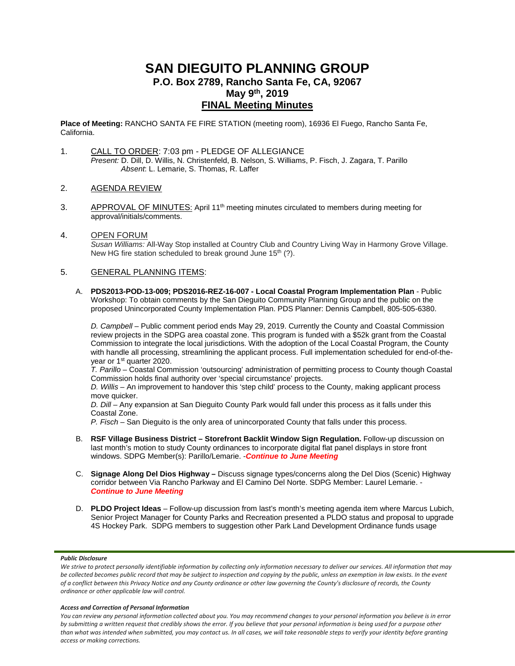# **SAN DIEGUITO PLANNING GROUP P.O. Box 2789, Rancho Santa Fe, CA, 92067 May 9th, 2019 FINAL Meeting Minutes**

**Place of Meeting:** RANCHO SANTA FE FIRE STATION (meeting room), 16936 El Fuego, Rancho Santa Fe, California.

- 1. CALL TO ORDER: 7:03 pm PLEDGE OF ALLEGIANCE *Present:* D. Dill, D. Willis, N. Christenfeld, B. Nelson, S. Williams, P. Fisch, J. Zagara, T. Parillo *Absent*: L. Lemarie, S. Thomas, R. Laffer
- 2. AGENDA REVIEW
- 3. APPROVAL OF MINUTES: April 11<sup>th</sup> meeting minutes circulated to members during meeting for approval/initials/comments.
- 4. OPEN FORUM *Susan Williams:* All-Way Stop installed at Country Club and Country Living Way in Harmony Grove Village. New HG fire station scheduled to break ground June  $15<sup>th</sup>$  (?).

### 5. GENERAL PLANNING ITEMS:

A. **PDS2013-POD-13-009; PDS2016-REZ-16-007 - Local Coastal Program Implementation Plan** - Public Workshop: To obtain comments by the San Dieguito Community Planning Group and the public on the proposed Unincorporated County Implementation Plan. PDS Planner: Dennis Campbell, 805-505-6380.

*D. Campbell* – Public comment period ends May 29, 2019. Currently the County and Coastal Commission review projects in the SDPG area coastal zone. This program is funded with a \$52k grant from the Coastal Commission to integrate the local jurisdictions. With the adoption of the Local Coastal Program, the County with handle all processing, streamlining the applicant process. Full implementation scheduled for end-of-theyear or 1<sup>st</sup> quarter 2020.

*T. Parillo* – Coastal Commission 'outsourcing' administration of permitting process to County though Coastal Commission holds final authority over 'special circumstance' projects.

*D. Willis* – An improvement to handover this 'step child' process to the County, making applicant process move quicker.

*D. Dill* – Any expansion at San Dieguito County Park would fall under this process as it falls under this Coastal Zone.

*P. Fisch* – San Dieguito is the only area of unincorporated County that falls under this process.

- B. **RSF Village Business District – Storefront Backlit Window Sign Regulation.** Follow-up discussion on last month's motion to study County ordinances to incorporate digital flat panel displays in store front windows. SDPG Member(s): Parillo/Lemarie. -*Continue to June Meeting*
- C. **Signage Along Del Dios Highway –** Discuss signage types/concerns along the Del Dios (Scenic) Highway corridor between Via Rancho Parkway and El Camino Del Norte. SDPG Member: Laurel Lemarie. - *Continue to June Meeting*
- D. **PLDO Project Ideas** Follow-up discussion from last's month's meeting agenda item where Marcus Lubich, Senior Project Manager for County Parks and Recreation presented a PLDO status and proposal to upgrade 4S Hockey Park. SDPG members to suggestion other Park Land Development Ordinance funds usage

### *Public Disclosure*

#### *Access and Correction of Personal Information*

*You can review any personal information collected about you. You may recommend changes to your personal information you believe is in error by submitting a written request that credibly shows the error. If you believe that your personal information is being used for a purpose other than what was intended when submitted, you may contact us. In all cases, we will take reasonable steps to verify your identity before granting access or making corrections.*

We strive to protect personally identifiable information by collecting only information necessary to deliver our services. All information that may *be collected becomes public record that may be subject to inspection and copying by the public, unless an exemption in law exists. In the event of a conflict between this Privacy Notice and any County ordinance or other law governing the County's disclosure of records, the County ordinance or other applicable law will control.*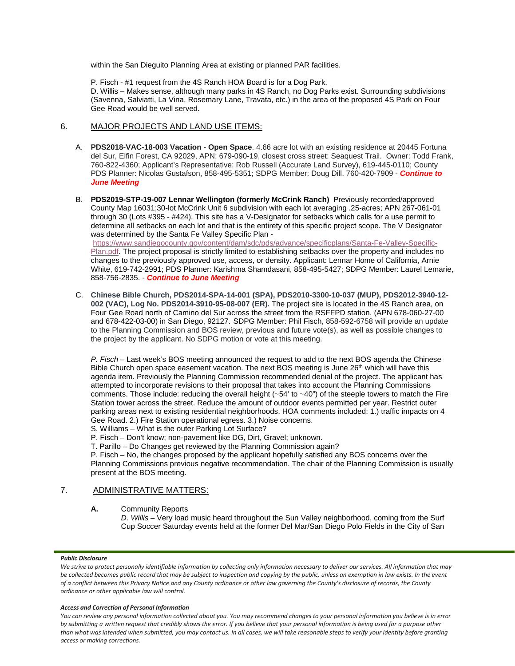within the San Dieguito Planning Area at existing or planned PAR facilities.

P. Fisch - #1 request from the 4S Ranch HOA Board is for a Dog Park. D. Willis – Makes sense, although many parks in 4S Ranch, no Dog Parks exist. Surrounding subdivisions (Savenna, Salviatti, La Vina, Rosemary Lane, Travata, etc.) in the area of the proposed 4S Park on Four Gee Road would be well served.

## 6. MAJOR PROJECTS AND LAND USE ITEMS:

- A. **PDS2018-VAC-18-003 Vacation - Open Space**. 4.66 acre lot with an existing residence at 20445 Fortuna del Sur, Elfin Forest, CA 92029, APN: 679-090-19, closest cross street: Seaquest Trail. Owner: Todd Frank, 760-822-4360; Applicant's Representative: Rob Russell (Accurate Land Survey), 619-445-0110; County PDS Planner: Nicolas Gustafson, 858-495-5351; SDPG Member: Doug Dill, 760-420-7909 - *Continue to June Meeting*
- B. **PDS2019-STP-19-007 Lennar Wellington (formerly McCrink Ranch)** Previously recorded/approved County Map 16031;30-lot McCrink Unit 6 subdivision with each lot averaging .25-acres; APN 267-061-01 through 30 (Lots #395 - #424). This site has a V-Designator for setbacks which calls for a use permit to determine all setbacks on each lot and that is the entirety of this specific project scope. The V Designator was determined by the Santa Fe Valley Specific Plan [https://www.sandiegocounty.gov/content/dam/sdc/pds/advance/specificplans/Santa-Fe-Valley-Specific-](https://www.sandiegocounty.gov/content/dam/sdc/pds/advance/specificplans/Santa-Fe-Valley-Specific-Plan.pdf)

[Plan.pdf.](https://www.sandiegocounty.gov/content/dam/sdc/pds/advance/specificplans/Santa-Fe-Valley-Specific-Plan.pdf) The project proposal is strictly limited to establishing setbacks over the property and includes no changes to the previously approved use, access, or density. Applicant: Lennar Home of California, Arnie White, 619-742-2991; PDS Planner: Karishma Shamdasani, 858-495-5427; SDPG Member: Laurel Lemarie, 858-756-2835. - *Continue to June Meeting*

C. **Chinese Bible Church, PDS2014-SPA-14-001 (SPA), PDS2010-3300-10-037 (MUP), PDS2012-3940-12- 002 (VAC), Log No. PDS2014-3910-95-08-007 (ER).** The project site is located in the 4S Ranch area, on Four Gee Road north of Camino del Sur across the street from the RSFFPD station, (APN 678-060-27-00 and 678-422-03-00) in San Diego, 92127. SDPG Member: Phil Fisch, 858-592-6758 will provide an update to the Planning Commission and BOS review, previous and future vote(s), as well as possible changes to the project by the applicant. No SDPG motion or vote at this meeting.

*P. Fisch* – Last week's BOS meeting announced the request to add to the next BOS agenda the Chinese Bible Church open space easement vacation. The next BOS meeting is June 26<sup>th</sup> which will have this agenda item. Previously the Planning Commission recommended denial of the project. The applicant has attempted to incorporate revisions to their proposal that takes into account the Planning Commissions comments. Those include: reducing the overall height (~54' to ~40") of the steeple towers to match the Fire Station tower across the street. Reduce the amount of outdoor events permitted per year. Restrict outer parking areas next to existing residential neighborhoods. HOA comments included: 1.) traffic impacts on 4 Gee Road. 2.) Fire Station operational egress. 3.) Noise concerns.

S. Williams – What is the outer Parking Lot Surface?

P. Fisch – Don't know; non-pavement like DG, Dirt, Gravel; unknown.

T. Parillo – Do Changes get reviewed by the Planning Commission again?

P. Fisch – No, the changes proposed by the applicant hopefully satisfied any BOS concerns over the Planning Commissions previous negative recommendation. The chair of the Planning Commission is usually present at the BOS meeting.

# 7. ADMINISTRATIVE MATTERS:

**A.** Community Reports

*D. Willis* – Very load music heard throughout the Sun Valley neighborhood, coming from the Surf Cup Soccer Saturday events held at the former Del Mar/San Diego Polo Fields in the City of San

### *Public Disclosure*

#### *Access and Correction of Personal Information*

*You can review any personal information collected about you. You may recommend changes to your personal information you believe is in error by submitting a written request that credibly shows the error. If you believe that your personal information is being used for a purpose other than what was intended when submitted, you may contact us. In all cases, we will take reasonable steps to verify your identity before granting access or making corrections.*

We strive to protect personally identifiable information by collecting only information necessary to deliver our services. All information that may *be collected becomes public record that may be subject to inspection and copying by the public, unless an exemption in law exists. In the event of a conflict between this Privacy Notice and any County ordinance or other law governing the County's disclosure of records, the County ordinance or other applicable law will control.*